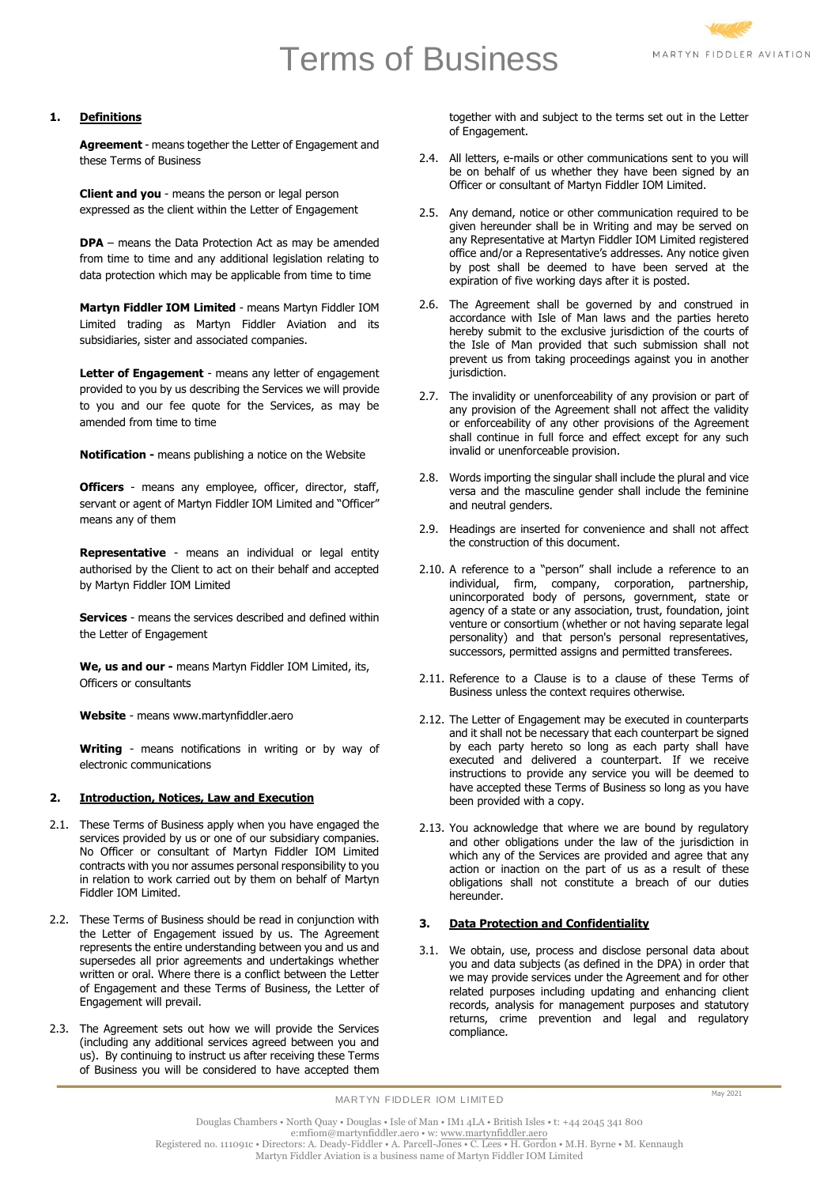# Terms of Business



# **1. Definitions**

**Agreement** - means together the Letter of Engagement and these Terms of Business

**Client and you** - means the person or legal person expressed as the client within the Letter of Engagement

**DPA** – means the Data Protection Act as may be amended from time to time and any additional legislation relating to data protection which may be applicable from time to time

**Martyn Fiddler IOM Limited** - means Martyn Fiddler IOM Limited trading as Martyn Fiddler Aviation and its subsidiaries, sister and associated companies.

Letter of Engagement - means any letter of engagement provided to you by us describing the Services we will provide to you and our fee quote for the Services, as may be amended from time to time

**Notification -** means publishing a notice on the Website

**Officers** - means any employee, officer, director, staff, servant or agent of Martyn Fiddler IOM Limited and "Officer" means any of them

**Representative** - means an individual or legal entity authorised by the Client to act on their behalf and accepted by Martyn Fiddler IOM Limited

**Services** - means the services described and defined within the Letter of Engagement

**We, us and our -** means Martyn Fiddler IOM Limited, its, Officers or consultants

**Website** - means www.martynfiddler.aero

**Writing** - means notifications in writing or by way of electronic communications

# **2. Introduction, Notices, Law and Execution**

- 2.1. These Terms of Business apply when you have engaged the services provided by us or one of our subsidiary companies. No Officer or consultant of Martyn Fiddler IOM Limited contracts with you nor assumes personal responsibility to you in relation to work carried out by them on behalf of Martyn Fiddler IOM Limited.
- 2.2. These Terms of Business should be read in conjunction with the Letter of Engagement issued by us. The Agreement represents the entire understanding between you and us and supersedes all prior agreements and undertakings whether written or oral. Where there is a conflict between the Letter of Engagement and these Terms of Business, the Letter of Engagement will prevail.
- 2.3. The Agreement sets out how we will provide the Services (including any additional services agreed between you and us). By continuing to instruct us after receiving these Terms of Business you will be considered to have accepted them

together with and subject to the terms set out in the Letter of Engagement.

- 2.4. All letters, e-mails or other communications sent to you will be on behalf of us whether they have been signed by an Officer or consultant of Martyn Fiddler IOM Limited.
- 2.5. Any demand, notice or other communication required to be given hereunder shall be in Writing and may be served on any Representative at Martyn Fiddler IOM Limited registered office and/or a Representative's addresses. Any notice given by post shall be deemed to have been served at the expiration of five working days after it is posted.
- 2.6. The Agreement shall be governed by and construed in accordance with Isle of Man laws and the parties hereto hereby submit to the exclusive jurisdiction of the courts of the Isle of Man provided that such submission shall not prevent us from taking proceedings against you in another jurisdiction.
- 2.7. The invalidity or unenforceability of any provision or part of any provision of the Agreement shall not affect the validity or enforceability of any other provisions of the Agreement shall continue in full force and effect except for any such invalid or unenforceable provision.
- 2.8. Words importing the singular shall include the plural and vice versa and the masculine gender shall include the feminine and neutral genders.
- 2.9. Headings are inserted for convenience and shall not affect the construction of this document.
- 2.10. A reference to a "person" shall include a reference to an individual, firm, company, corporation, partnership, unincorporated body of persons, government, state or agency of a state or any association, trust, foundation, joint venture or consortium (whether or not having separate legal personality) and that person's personal representatives, successors, permitted assigns and permitted transferees.
- 2.11. Reference to a Clause is to a clause of these Terms of Business unless the context requires otherwise.
- 2.12. The Letter of Engagement may be executed in counterparts and it shall not be necessary that each counterpart be signed by each party hereto so long as each party shall have executed and delivered a counterpart. If we receive instructions to provide any service you will be deemed to have accepted these Terms of Business so long as you have been provided with a copy.
- 2.13. You acknowledge that where we are bound by regulatory and other obligations under the law of the jurisdiction in which any of the Services are provided and agree that any action or inaction on the part of us as a result of these obligations shall not constitute a breach of our duties hereunder.

# **3. Data Protection and Confidentiality**

3.1. We obtain, use, process and disclose personal data about you and data subjects (as defined in the DPA) in order that we may provide services under the Agreement and for other related purposes including updating and enhancing client records, analysis for management purposes and statutory returns, crime prevention and legal and regulatory compliance.

MARTYN FIDDLER IOM LIMITED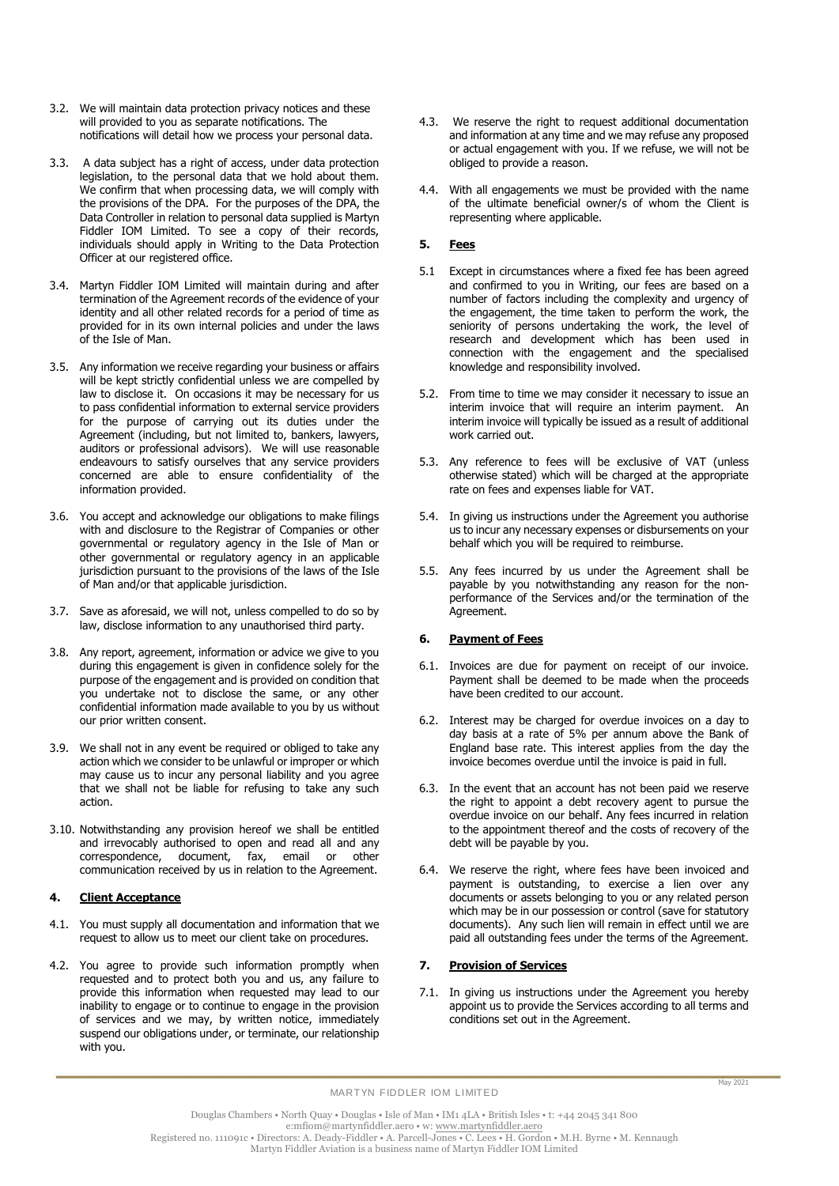- 3.2. We will maintain data protection privacy notices and these will provided to you as separate notifications. The notifications will detail how we process your personal data.
- 3.3. A data subject has a right of access, under data protection legislation, to the personal data that we hold about them. We confirm that when processing data, we will comply with the provisions of the DPA. For the purposes of the DPA, the Data Controller in relation to personal data supplied is Martyn Fiddler IOM Limited. To see a copy of their records, individuals should apply in Writing to the Data Protection Officer at our registered office.
- 3.4. Martyn Fiddler IOM Limited will maintain during and after termination of the Agreement records of the evidence of your identity and all other related records for a period of time as provided for in its own internal policies and under the laws of the Isle of Man.
- 3.5. Any information we receive regarding your business or affairs will be kept strictly confidential unless we are compelled by law to disclose it. On occasions it may be necessary for us to pass confidential information to external service providers for the purpose of carrying out its duties under the Agreement (including, but not limited to, bankers, lawyers, auditors or professional advisors). We will use reasonable endeavours to satisfy ourselves that any service providers concerned are able to ensure confidentiality of the information provided.
- 3.6. You accept and acknowledge our obligations to make filings with and disclosure to the Registrar of Companies or other governmental or regulatory agency in the Isle of Man or other governmental or regulatory agency in an applicable jurisdiction pursuant to the provisions of the laws of the Isle of Man and/or that applicable jurisdiction.
- 3.7. Save as aforesaid, we will not, unless compelled to do so by law, disclose information to any unauthorised third party.
- 3.8. Any report, agreement, information or advice we give to you during this engagement is given in confidence solely for the purpose of the engagement and is provided on condition that you undertake not to disclose the same, or any other confidential information made available to you by us without our prior written consent.
- 3.9. We shall not in any event be required or obliged to take any action which we consider to be unlawful or improper or which may cause us to incur any personal liability and you agree that we shall not be liable for refusing to take any such action.
- 3.10. Notwithstanding any provision hereof we shall be entitled and irrevocably authorised to open and read all and any correspondence, document, fax, email or other communication received by us in relation to the Agreement.

# **4. Client Acceptance**

- 4.1. You must supply all documentation and information that we request to allow us to meet our client take on procedures.
- 4.2. You agree to provide such information promptly when requested and to protect both you and us, any failure to provide this information when requested may lead to our inability to engage or to continue to engage in the provision of services and we may, by written notice, immediately suspend our obligations under, or terminate, our relationship with you.
- 4.3. We reserve the right to request additional documentation and information at any time and we may refuse any proposed or actual engagement with you. If we refuse, we will not be obliged to provide a reason.
- 4.4. With all engagements we must be provided with the name of the ultimate beneficial owner/s of whom the Client is representing where applicable.

# **5. Fees**

- 5.1 Except in circumstances where a fixed fee has been agreed and confirmed to you in Writing, our fees are based on a number of factors including the complexity and urgency of the engagement, the time taken to perform the work, the seniority of persons undertaking the work, the level of research and development which has been used in connection with the engagement and the specialised knowledge and responsibility involved.
- 5.2. From time to time we may consider it necessary to issue an interim invoice that will require an interim payment. An interim invoice will typically be issued as a result of additional work carried out.
- 5.3. Any reference to fees will be exclusive of VAT (unless otherwise stated) which will be charged at the appropriate rate on fees and expenses liable for VAT.
- 5.4. In giving us instructions under the Agreement you authorise us to incur any necessary expenses or disbursements on your behalf which you will be required to reimburse.
- 5.5. Any fees incurred by us under the Agreement shall be payable by you notwithstanding any reason for the nonperformance of the Services and/or the termination of the Agreement.

# **6. Payment of Fees**

- 6.1. Invoices are due for payment on receipt of our invoice. Payment shall be deemed to be made when the proceeds have been credited to our account.
- 6.2. Interest may be charged for overdue invoices on a day to day basis at a rate of 5% per annum above the Bank of England base rate. This interest applies from the day the invoice becomes overdue until the invoice is paid in full.
- 6.3. In the event that an account has not been paid we reserve the right to appoint a debt recovery agent to pursue the overdue invoice on our behalf. Any fees incurred in relation to the appointment thereof and the costs of recovery of the debt will be payable by you.
- 6.4. We reserve the right, where fees have been invoiced and payment is outstanding, to exercise a lien over any documents or assets belonging to you or any related person which may be in our possession or control (save for statutory documents). Any such lien will remain in effect until we are paid all outstanding fees under the terms of the Agreement.

## **7. Provision of Services**

7.1. In giving us instructions under the Agreement you hereby appoint us to provide the Services according to all terms and conditions set out in the Agreement.

MARTYN FIDDLER IOM LIMITED

Douglas Chambers • North Quay • Douglas • Isle of Man • IM1 4LA • British Isles • t: +44 2045 341 800 e:mfiom@martynfiddler.aero • w: [www.martynfiddler.aero](http://www.martynfiddler.aero/) Registered no. 111091c • Directors: A. Deady-Fiddler • A. Parcell-Jones • C. Lees • H. Gordon • M.H. Byrne • M. Kennaugh Martyn Fiddler Aviation is a business name of Martyn Fiddler IOM Limited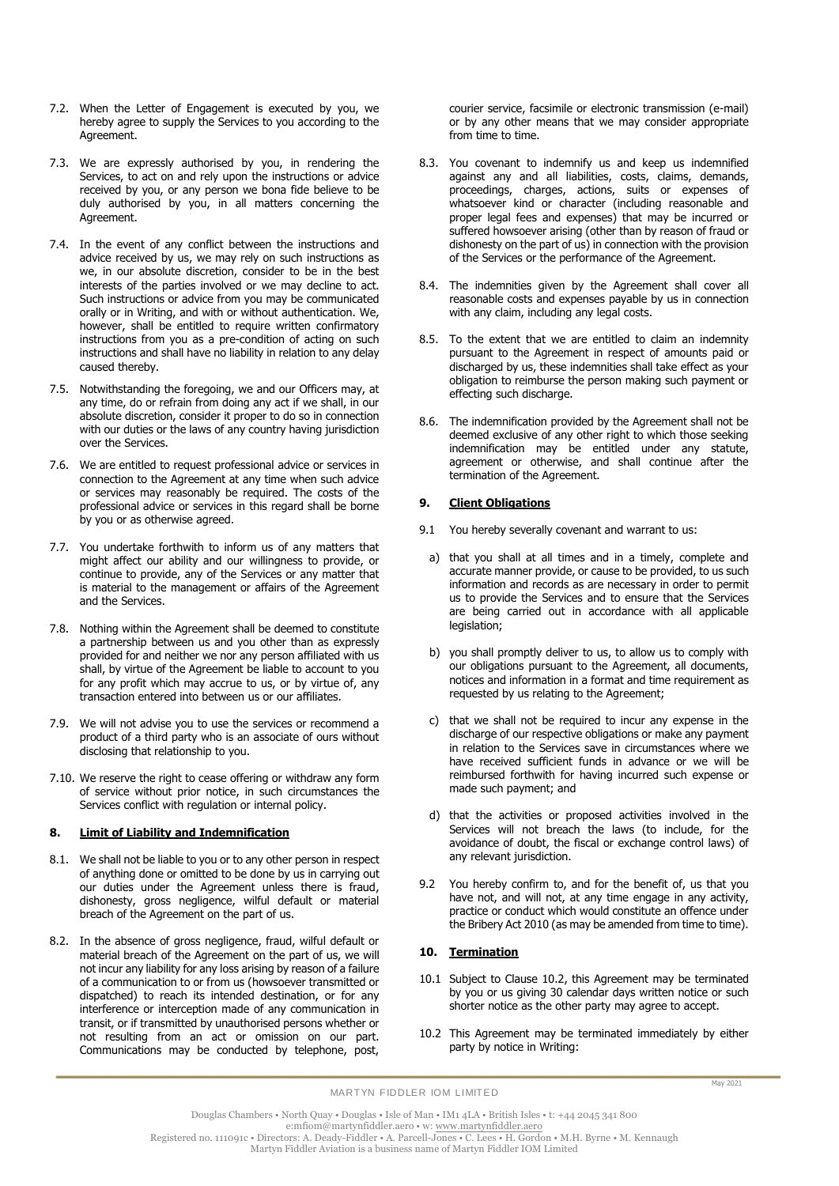- 7.2. When the Letter of Engagement is executed by you, we hereby agree to supply the Services to you according to the Agreement.
- 7.3. We are expressly authorised by you, in rendering the Services, to act on and rely upon the instructions or advice received by you, or any person we bona fide believe to be duly authorised by you, in all matters concerning the Agreement.
- 7.4. In the event of any conflict between the instructions and advice received by us, we may rely on such instructions as we, in our absolute discretion, consider to be in the best interests of the parties involved or we may decline to act. Such instructions or advice from you may be communicated orally or in Writing, and with or without authentication. We, however, shall be entitled to require written confirmatory instructions from you as a pre-condition of acting on such instructions and shall have no liability in relation to any delay caused thereby.
- 7.5. Notwithstanding the foregoing, we and our Officers may, at any time, do or refrain from doing any act if we shall, in our absolute discretion, consider it proper to do so in connection with our duties or the laws of any country having jurisdiction over the Services.
- 7.6. We are entitled to request professional advice or services in connection to the Agreement at any time when such advice or services may reasonably be required. The costs of the professional advice or services in this regard shall be borne by you or as otherwise agreed.
- 7.7. You undertake forthwith to inform us of any matters that might affect our ability and our willingness to provide, or continue to provide, any of the Services or any matter that is material to the management or affairs of the Agreement and the Services.
- 7.8. Nothing within the Agreement shall be deemed to constitute a partnership between us and you other than as expressly provided for and neither we nor any person affiliated with us shall, by virtue of the Agreement be liable to account to you for any profit which may accrue to us, or by virtue of, any transaction entered into between us or our affiliates.
- 7.9. We will not advise you to use the services or recommend a product of a third party who is an associate of ours without disclosing that relationship to you.
- 7.10. We reserve the right to cease offering or withdraw any form of service without prior notice, in such circumstances the Services conflict with regulation or internal policy.

# **8. Limit of Liability and Indemnification**

- 8.1. We shall not be liable to you or to any other person in respect of anything done or omitted to be done by us in carrying out our duties under the Agreement unless there is fraud, dishonesty, gross negligence, wilful default or material breach of the Agreement on the part of us.
- 8.2. In the absence of gross negligence, fraud, wilful default or material breach of the Agreement on the part of us, we will not incur any liability for any loss arising by reason of a failure of a communication to or from us (howsoever transmitted or dispatched) to reach its intended destination, or for any interference or interception made of any communication in transit, or if transmitted by unauthorised persons whether or not resulting from an act or omission on our part. Communications may be conducted by telephone, post,

courier service, facsimile or electronic transmission (e-mail) or by any other means that we may consider appropriate from time to time.

- 8.3. You covenant to indemnify us and keep us indemnified against any and all liabilities, costs, claims, demands, proceedings, charges, actions, suits or expenses of whatsoever kind or character (including reasonable and proper legal fees and expenses) that may be incurred or suffered howsoever arising (other than by reason of fraud or dishonesty on the part of us) in connection with the provision of the Services or the performance of the Agreement.
- 8.4. The indemnities given by the Agreement shall cover all reasonable costs and expenses payable by us in connection with any claim, including any legal costs.
- 8.5. To the extent that we are entitled to claim an indemnity pursuant to the Agreement in respect of amounts paid or discharged by us, these indemnities shall take effect as your obligation to reimburse the person making such payment or effecting such discharge.
- 8.6. The indemnification provided by the Agreement shall not be deemed exclusive of any other right to which those seeking indemnification may be entitled under any statute, agreement or otherwise, and shall continue after the termination of the Agreement.

## **9. Client Obligations**

- 9.1 You hereby severally covenant and warrant to us:
- a) that you shall at all times and in a timely, complete and accurate manner provide, or cause to be provided, to us such information and records as are necessary in order to permit us to provide the Services and to ensure that the Services are being carried out in accordance with all applicable legislation;
- b) you shall promptly deliver to us, to allow us to comply with our obligations pursuant to the Agreement, all documents, notices and information in a format and time requirement as requested by us relating to the Agreement;
- c) that we shall not be required to incur any expense in the discharge of our respective obligations or make any payment in relation to the Services save in circumstances where we have received sufficient funds in advance or we will be reimbursed forthwith for having incurred such expense or made such payment; and
- d) that the activities or proposed activities involved in the Services will not breach the laws (to include, for the avoidance of doubt, the fiscal or exchange control laws) of any relevant jurisdiction.
- 9.2 You hereby confirm to, and for the benefit of, us that you have not, and will not, at any time engage in any activity, practice or conduct which would constitute an offence under the Bribery Act 2010 (as may be amended from time to time).

#### **10. Termination**

- 10.1 Subject to Clause 10.2, this Agreement may be terminated by you or us giving 30 calendar days written notice or such shorter notice as the other party may agree to accept.
- 10.2 This Agreement may be terminated immediately by either party by notice in Writing:

Douglas Chambers • North Quay • Douglas • Isle of Man • IM1 4LA • British Isles • t: +44 2045 341 800 e:mfiom@martynfiddler.aero • w: [www.martynfiddler.aero](http://www.martynfiddler.aero/) Registered no. 111091c • Directors: A. Deady-Fiddler • A. Parcell-Jones • C. Lees • H. Gordon • M.H. Byrne • M. Kennaugh Martyn Fiddler Aviation is a business name of Martyn Fiddler IOM Limited